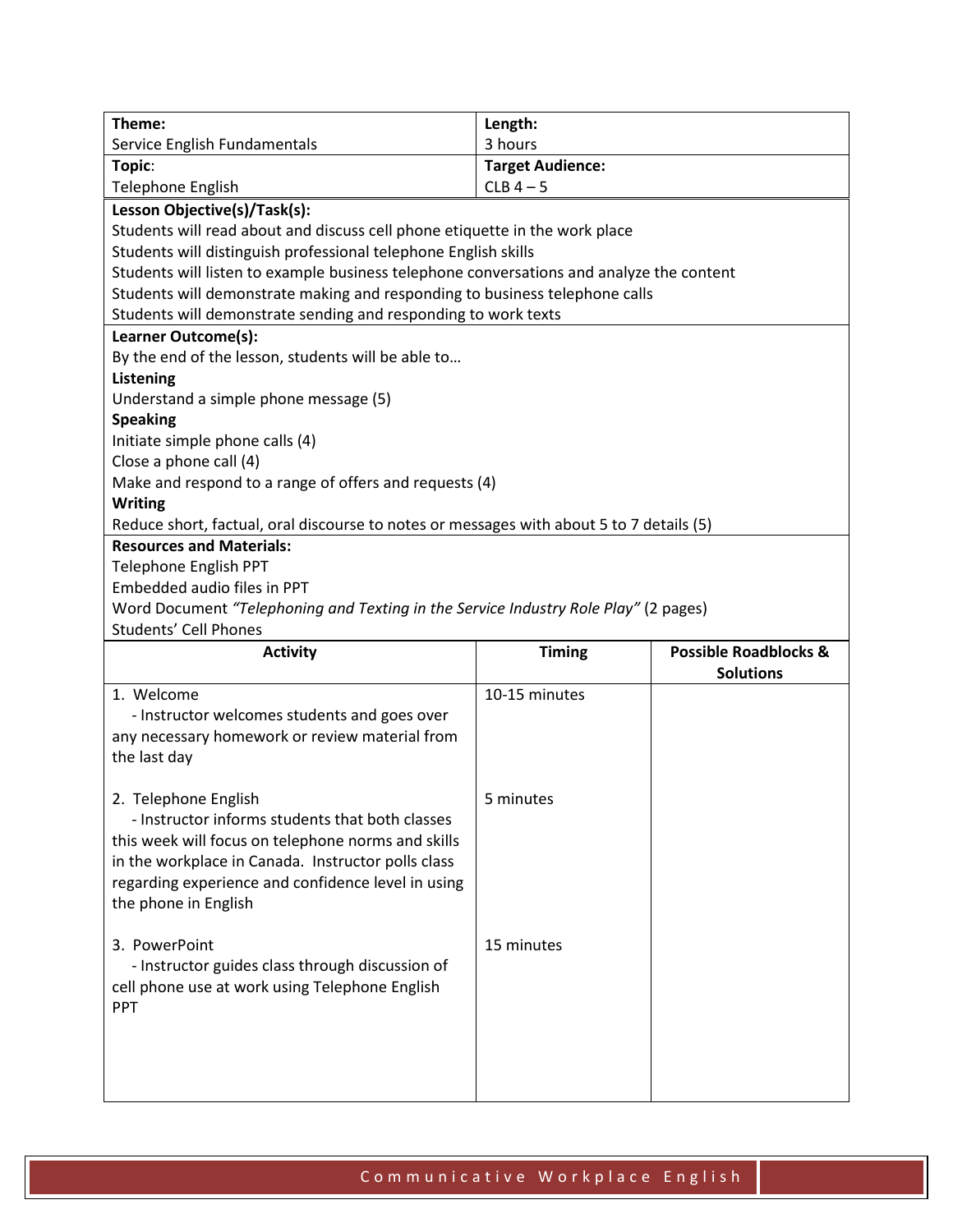| Theme:                                                                                   | Length:                 |                                  |  |  |
|------------------------------------------------------------------------------------------|-------------------------|----------------------------------|--|--|
| Service English Fundamentals                                                             | 3 hours                 |                                  |  |  |
| Topic:                                                                                   | <b>Target Audience:</b> |                                  |  |  |
| Telephone English                                                                        | $CLB$ 4 - 5             |                                  |  |  |
| Lesson Objective(s)/Task(s):                                                             |                         |                                  |  |  |
| Students will read about and discuss cell phone etiquette in the work place              |                         |                                  |  |  |
| Students will distinguish professional telephone English skills                          |                         |                                  |  |  |
| Students will listen to example business telephone conversations and analyze the content |                         |                                  |  |  |
| Students will demonstrate making and responding to business telephone calls              |                         |                                  |  |  |
| Students will demonstrate sending and responding to work texts                           |                         |                                  |  |  |
| Learner Outcome(s):                                                                      |                         |                                  |  |  |
| By the end of the lesson, students will be able to                                       |                         |                                  |  |  |
| <b>Listening</b>                                                                         |                         |                                  |  |  |
| Understand a simple phone message (5)                                                    |                         |                                  |  |  |
| <b>Speaking</b>                                                                          |                         |                                  |  |  |
| Initiate simple phone calls (4)                                                          |                         |                                  |  |  |
| Close a phone call (4)                                                                   |                         |                                  |  |  |
| Make and respond to a range of offers and requests (4)                                   |                         |                                  |  |  |
| <b>Writing</b>                                                                           |                         |                                  |  |  |
| Reduce short, factual, oral discourse to notes or messages with about 5 to 7 details (5) |                         |                                  |  |  |
| <b>Resources and Materials:</b>                                                          |                         |                                  |  |  |
| <b>Telephone English PPT</b>                                                             |                         |                                  |  |  |
| Embedded audio files in PPT                                                              |                         |                                  |  |  |
| Word Document "Telephoning and Texting in the Service Industry Role Play" (2 pages)      |                         |                                  |  |  |
|                                                                                          |                         |                                  |  |  |
| Students' Cell Phones                                                                    |                         |                                  |  |  |
| <b>Activity</b>                                                                          | <b>Timing</b>           | <b>Possible Roadblocks &amp;</b> |  |  |
|                                                                                          |                         | <b>Solutions</b>                 |  |  |
| 1. Welcome                                                                               | 10-15 minutes           |                                  |  |  |
| - Instructor welcomes students and goes over                                             |                         |                                  |  |  |
| any necessary homework or review material from                                           |                         |                                  |  |  |
| the last day                                                                             |                         |                                  |  |  |
|                                                                                          |                         |                                  |  |  |
| 2. Telephone English                                                                     | 5 minutes               |                                  |  |  |
| - Instructor informs students that both classes                                          |                         |                                  |  |  |
| this week will focus on telephone norms and skills                                       |                         |                                  |  |  |
| in the workplace in Canada. Instructor polls class                                       |                         |                                  |  |  |
| regarding experience and confidence level in using                                       |                         |                                  |  |  |
| the phone in English                                                                     |                         |                                  |  |  |
|                                                                                          |                         |                                  |  |  |
| 3. PowerPoint                                                                            | 15 minutes              |                                  |  |  |
| - Instructor guides class through discussion of                                          |                         |                                  |  |  |
| cell phone use at work using Telephone English                                           |                         |                                  |  |  |
| <b>PPT</b>                                                                               |                         |                                  |  |  |
|                                                                                          |                         |                                  |  |  |
|                                                                                          |                         |                                  |  |  |
|                                                                                          |                         |                                  |  |  |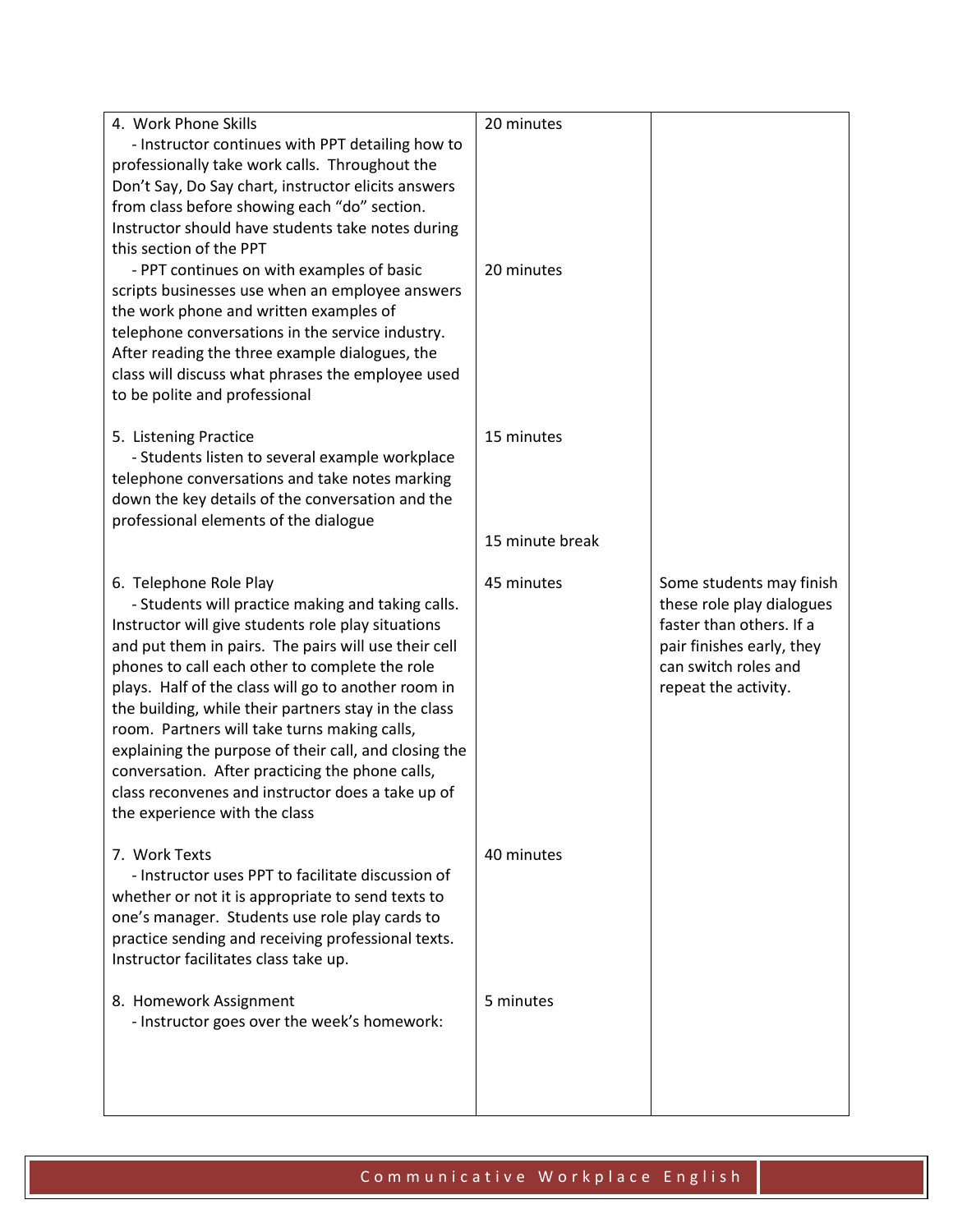| 4. Work Phone Skills                                                                                 | 20 minutes      |                           |
|------------------------------------------------------------------------------------------------------|-----------------|---------------------------|
| - Instructor continues with PPT detailing how to                                                     |                 |                           |
| professionally take work calls. Throughout the                                                       |                 |                           |
| Don't Say, Do Say chart, instructor elicits answers                                                  |                 |                           |
| from class before showing each "do" section.                                                         |                 |                           |
| Instructor should have students take notes during                                                    |                 |                           |
| this section of the PPT                                                                              |                 |                           |
| - PPT continues on with examples of basic                                                            | 20 minutes      |                           |
| scripts businesses use when an employee answers                                                      |                 |                           |
| the work phone and written examples of                                                               |                 |                           |
| telephone conversations in the service industry.                                                     |                 |                           |
| After reading the three example dialogues, the                                                       |                 |                           |
| class will discuss what phrases the employee used                                                    |                 |                           |
| to be polite and professional                                                                        |                 |                           |
|                                                                                                      |                 |                           |
| 5. Listening Practice                                                                                | 15 minutes      |                           |
| - Students listen to several example workplace                                                       |                 |                           |
| telephone conversations and take notes marking                                                       |                 |                           |
| down the key details of the conversation and the                                                     |                 |                           |
| professional elements of the dialogue                                                                |                 |                           |
|                                                                                                      | 15 minute break |                           |
| 6. Telephone Role Play                                                                               | 45 minutes      | Some students may finish  |
| - Students will practice making and taking calls.                                                    |                 | these role play dialogues |
|                                                                                                      |                 |                           |
|                                                                                                      |                 |                           |
| Instructor will give students role play situations                                                   |                 | faster than others. If a  |
| and put them in pairs. The pairs will use their cell                                                 |                 | pair finishes early, they |
| phones to call each other to complete the role                                                       |                 | can switch roles and      |
| plays. Half of the class will go to another room in                                                  |                 | repeat the activity.      |
| the building, while their partners stay in the class                                                 |                 |                           |
| room. Partners will take turns making calls,                                                         |                 |                           |
| explaining the purpose of their call, and closing the                                                |                 |                           |
| conversation. After practicing the phone calls,                                                      |                 |                           |
| class reconvenes and instructor does a take up of                                                    |                 |                           |
| the experience with the class                                                                        |                 |                           |
|                                                                                                      |                 |                           |
| 7. Work Texts                                                                                        | 40 minutes      |                           |
| - Instructor uses PPT to facilitate discussion of                                                    |                 |                           |
| whether or not it is appropriate to send texts to                                                    |                 |                           |
| one's manager. Students use role play cards to<br>practice sending and receiving professional texts. |                 |                           |
|                                                                                                      |                 |                           |
| Instructor facilitates class take up.                                                                |                 |                           |
| 8. Homework Assignment                                                                               | 5 minutes       |                           |
| - Instructor goes over the week's homework:                                                          |                 |                           |
|                                                                                                      |                 |                           |
|                                                                                                      |                 |                           |
|                                                                                                      |                 |                           |

## Communicative Workplace English